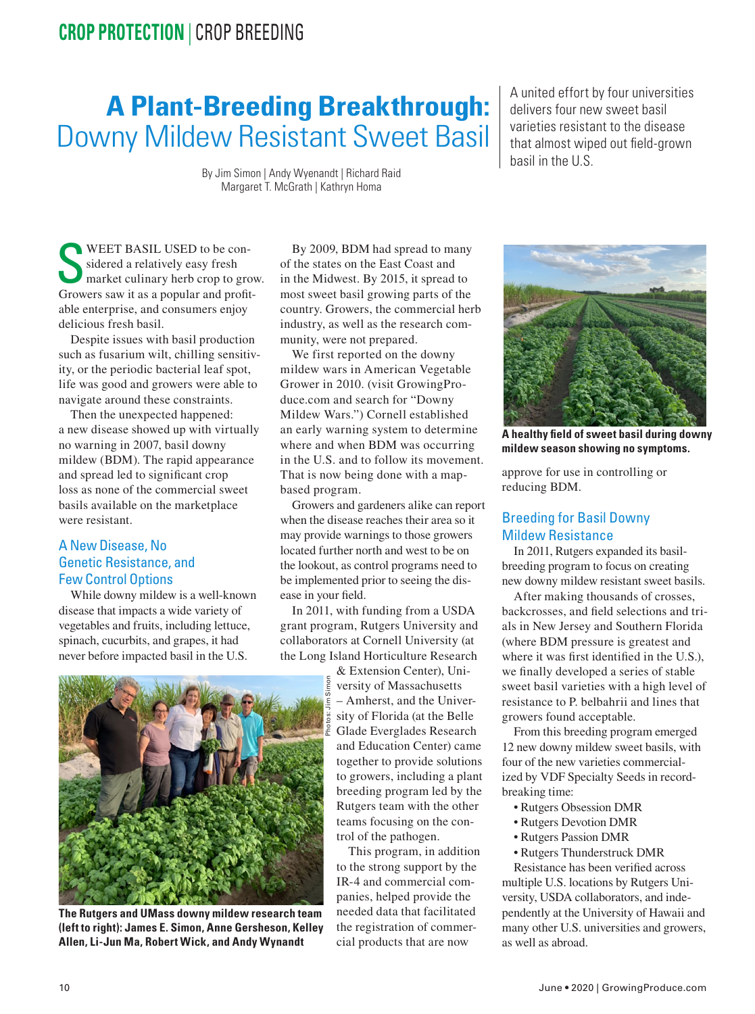## **CROP PROTECTION** | CROP BREEDING

# **A Plant-Breeding Breakthrough:** Downy Mildew Resistant Sweet Basil

By Jim Simon | Andy Wyenandt | Richard Raid Margaret T. McGrath | Kathryn Homa

WEET BASIL USED to be con-<br>sidered a relatively easy fresh<br>market culinary herb crop to grow. sidered a relatively easy fresh Growers saw it as a popular and profitable enterprise, and consumers enjoy delicious fresh basil.

Despite issues with basil production such as fusarium wilt, chilling sensitivity, or the periodic bacterial leaf spot, life was good and growers were able to navigate around these constraints.

Then the unexpected happened: a new disease showed up with virtually no warning in 2007, basil downy mildew (BDM). The rapid appearance and spread led to significant crop loss as none of the commercial sweet basils available on the marketplace were resistant.

### A New Disease, No Genetic Resistance, and Few Control Options

While downy mildew is a well-known disease that impacts a wide variety of vegetables and fruits, including lettuce, spinach, cucurbits, and grapes, it had never before impacted basil in the U.S.

By 2009, BDM had spread to many of the states on the East Coast and in the Midwest. By 2015, it spread to most sweet basil growing parts of the country. Growers, the commercial herb industry, as well as the research community, were not prepared.

We first reported on the downy mildew wars in American Vegetable Grower in 2010. (visit GrowingProduce.com and search for "Downy Mildew Wars.") Cornell established an early warning system to determine where and when BDM was occurring in the U.S. and to follow its movement. That is now being done with a mapbased program.

Growers and gardeners alike can report when the disease reaches their area so it may provide warnings to those growers located further north and west to be on the lookout, as control programs need to be implemented prior to seeing the disease in your field.

In 2011, with funding from a USDA grant program, Rutgers University and collaborators at Cornell University (at the Long Island Horticulture Research

& Extension Center), University of Massachusetts – Amherst, and the University of Florida (at the Belle Glade Everglades Research and Education Center) came together to provide solutions to growers, including a plant breeding program led by the Rutgers team with the other teams focusing on the control of the pathogen.

This program, in addition to the strong support by the IR-4 and commercial companies, helped provide the needed data that facilitated the registration of commercial products that are now

A united effort by four universities delivers four new sweet basil varieties resistant to the disease that almost wiped out field-grown basil in the U.S.



**A healthy field of sweet basil during downy mildew season showing no symptoms.**

approve for use in controlling or reducing BDM.

#### Breeding for Basil Downy Mildew Resistance

In 2011, Rutgers expanded its basilbreeding program to focus on creating new downy mildew resistant sweet basils.

After making thousands of crosses, backcrosses, and field selections and trials in New Jersey and Southern Florida (where BDM pressure is greatest and where it was first identified in the U.S.), we finally developed a series of stable sweet basil varieties with a high level of resistance to P. belbahrii and lines that growers found acceptable.

From this breeding program emerged 12 new downy mildew sweet basils, with four of the new varieties commercialized by VDF Specialty Seeds in recordbreaking time:

- Rutgers Obsession DMR
- Rutgers Devotion DMR
- Rutgers Passion DMR
- Rutgers Thunderstruck DMR

Resistance has been verified across multiple U.S. locations by Rutgers University, USDA collaborators, and independently at the University of Hawaii and many other U.S. universities and growers, as well as abroad.



**The Rutgers and UMass downy mildew research team (left to right): James E. Simon, Anne Gersheson, Kelley Allen, Li-Jun Ma, Robert Wick, and Andy Wynandt**